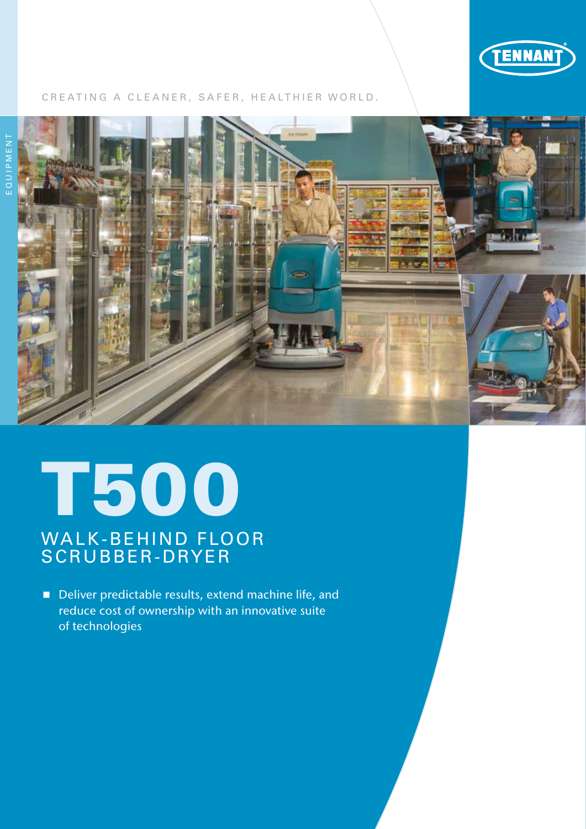

### CREATING A CLEANER, SAFER, HEALTHIER WORLD.



# T500

# WALK-BEHIND FLOOR SCRUBBER-DRYER

Deliver predictable results, extend machine life, and reduce cost of ownership with an innovative suite of technologies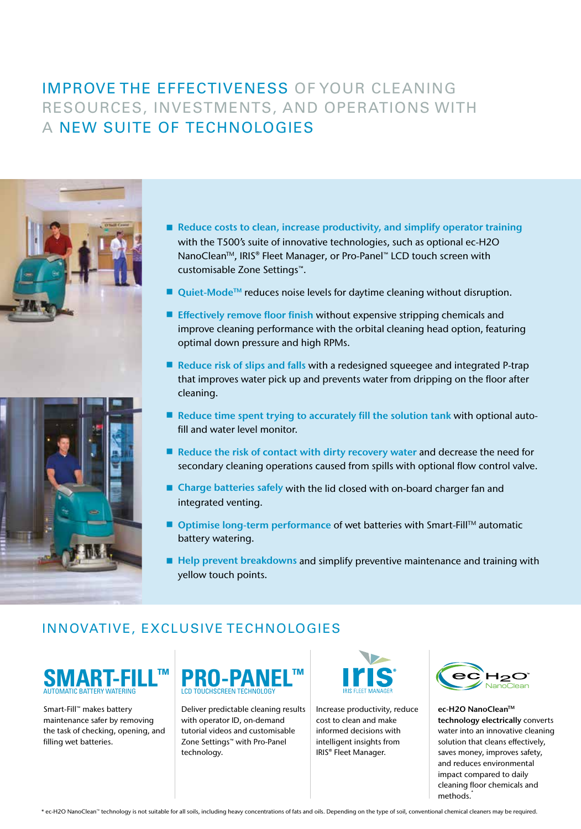# IMPROVE THE EFFECTIVENESS OF YOUR CLEANING RESOURCES, INVESTMENTS, AND OPERATIONS WITH A NEW SUITE OF TECHNOLOGIES



- Reduce costs to clean, increase productivity, and simplify operator training with the T500's suite of innovative technologies, such as optional ec-H2O NanoClean<sup>™</sup>, IRIS® Fleet Manager, or Pro-Panel™ LCD touch screen with customisable Zone Settings™.
- $\blacksquare$  Quiet-Mode<sup>TM</sup> reduces noise levels for daytime cleaning without disruption.
- **Effectively remove floor finish without expensive stripping chemicals and** improve cleaning performance with the orbital cleaning head option, featuring optimal down pressure and high RPMs.
- Reduce risk of slips and falls with a redesigned squeegee and integrated P-trap that improves water pick up and prevents water from dripping on the floor after cleaning.
- Reduce time spent trying to accurately fill the solution tank with optional autofill and water level monitor.
- $\blacksquare$  Reduce the risk of contact with dirty recovery water and decrease the need for secondary cleaning operations caused from spills with optional flow control valve.
- Charge batteries safely with the lid closed with on-board charger fan and integrated venting.
- Optimise long-term performance of wet batteries with Smart-Fill™ automatic battery watering.
- Help prevent breakdowns and simplify preventive maintenance and training with yellow touch points.

# INNOVATIVE, EXCLUSIVE TECHNOLOGIES



Smart-Fill™ makes battery maintenance safer by removing the task of checking, opening, and filling wet batteries.



Deliver predictable cleaning results with operator ID, on-demand tutorial videos and customisable Zone Settings™ with Pro-Panel technology.



Increase productivity, reduce cost to clean and make informed decisions with intelligent insights from IRIS® Fleet Manager.



ec-H2O NanoClean™ technology electrically converts water into an innovative cleaning solution that cleans effectively, saves money, improves safety, and reduces environmental impact compared to daily cleaning floor chemicals and methods.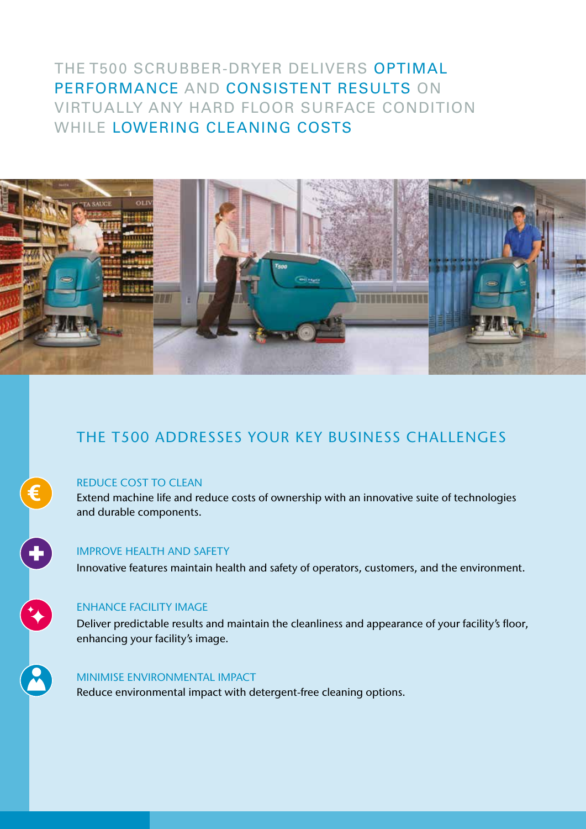# THE T500 SCRUBBER-DRYER DELIVERS OPTIMAL PERFORMANCE AND CONSISTENT RESULTS ON VIRTUALLY ANY HARD FLOOR SURFACE CONDITION WHILE LOWERING CLEANING COSTS



# THE T500 ADDRESSES YOUR KEY BUSINESS CHALLENGES

### REDUCE COST TO CLEAN

€

0

R

R

Extend machine life and reduce costs of ownership with an innovative suite of technologies and durable components.

### IMPROVE HEALTH AND SAFETY

Innovative features maintain health and safety of operators, customers, and the environment.

### ENHANCE FACILITY IMAGE

Deliver predictable results and maintain the cleanliness and appearance of your facility's floor, enhancing your facility's image.

### MINIMISE ENVIRONMENTAL IMPACT

Reduce environmental impact with detergent-free cleaning options.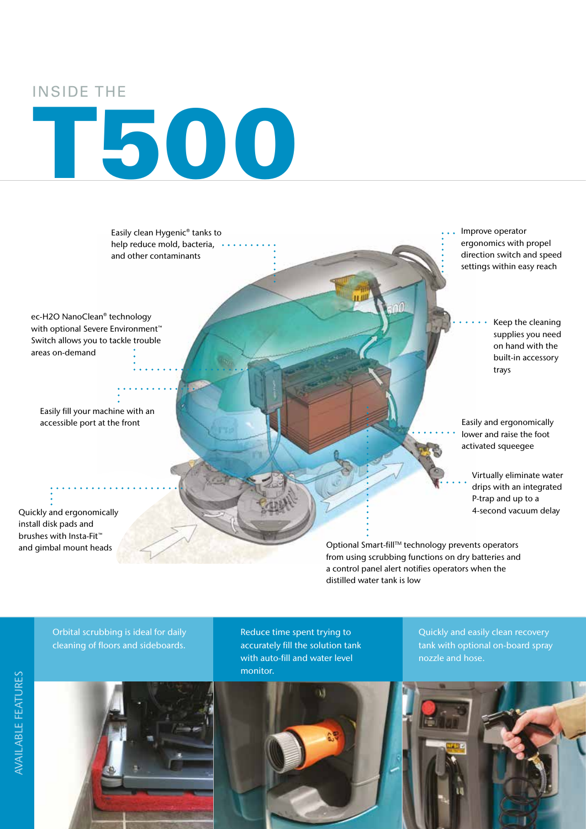## INSIDE THE

# T500

Easily clean Hygenic® tanks to help reduce mold, bacteria, and other contaminants

ec-H2O NanoClean® technology with optional Severe Environment™ Switch allows you to tackle trouble areas on-demand

Easily fill your machine with an accessible port at the front

Quickly and ergonomically install disk pads and brushes with Insta-Fit™ and gimbal mount heads

Improve operator ergonomics with propel direction switch and speed settings within easy reach

> Keep the cleaning supplies you need on hand with the built-in accessory trays

Easily and ergonomically lower and raise the foot activated squeegee

Virtually eliminate water drips with an integrated P-trap and up to a 4-second vacuum delay

Optional Smart-fill™ technology prevents operators from using scrubbing functions on dry batteries and a control panel alert notifies operators when the distilled water tank is low

Orbital scrubbing is ideal for daily cleaning of floors and sideboards.

Reduce time spent trying to accurately fill the solution tank with auto-fill and water level monitor.

Quickly and easily clean recovery tank with optional on-board spray nozzle and hose.

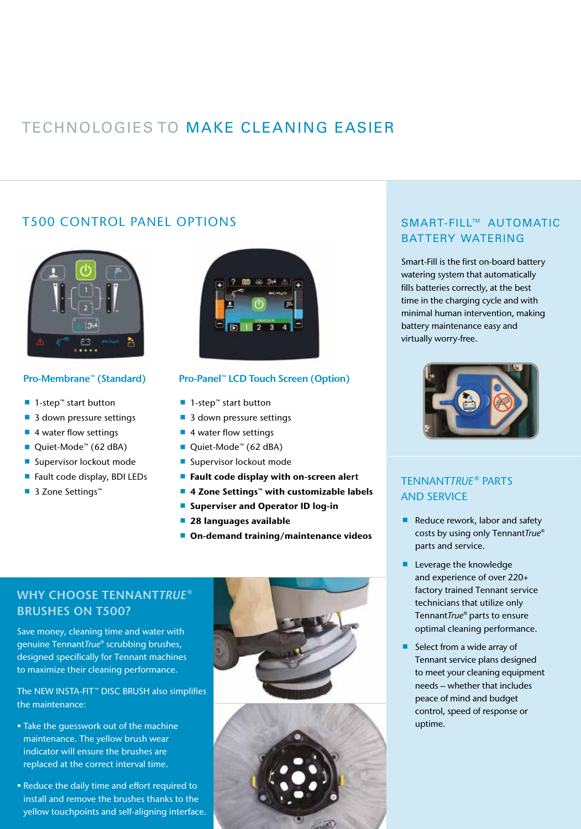# TECHNOLOGIES TO MAKE CLEANING EASIER

## T500 CONTROL PANEL OPTIONS



#### Pro-Membrane™ (Standard)

- 1-step<sup>™</sup> start button
- 3 down pressure settings
- 4 water flow settings
- Quiet-Mode<sup>™</sup> (62 dBA)
- Supervisor lockout mode
- Fault code display, BDI LEDs
- 3 Zone Settings™



#### Pro-Panel™ LCD Touch Screen (Option)

- 1-step<sup>™</sup> start button
- 3 down pressure settings
- 4 water flow settings
- Quiet-Mode<sup>™</sup> (62 dBA)
- Supervisor lockout mode
- **Fault code display with on-screen alert**
- 4 Zone Settings™ with customizable labels
- **Superviser and Operator ID log-in**
- 28 languages available
- On-demand training/maintenance videos

## WHY CHOOSE TENNANT*TRUE®* BRUSHES ON T500?

Save money, cleaning time and water with genuine Tennant*True®* scrubbing brushes, designed specifically for Tennant machines to maximize their cleaning performance.

The NEW INSTA-FIT™ DISC BRUSH also simplifies the maintenance:

- § Take the guesswork out of the machine maintenance. The yellow brush wear indicator will ensure the brushes are replaced at the correct interval time.
- § Reduce the daily time and effort required to install and remove the brushes thanks to the yellow touchpoints and self-aligning interface.





## SMART-FILL™ AUTOMATIC BATTERY WATERING

Smart-Fill is the first on-board battery watering system that automatically fills batteries correctly, at the best time in the charging cycle and with minimal human intervention, making battery maintenance easy and virtually worry-free.



### TENNANT*TRUE*® PARTS AND SERVICE

- Reduce rework, labor and safety costs by using only Tennant*True®* parts and service.
- **Leverage the knowledge** and experience of over 220+ factory trained Tennant service technicians that utilize only Tennant*True®* parts to ensure optimal cleaning performance.
- $\blacksquare$  Select from a wide array of Tennant service plans designed to meet your cleaning equipment needs – whether that includes peace of mind and budget control, speed of response or uptime.